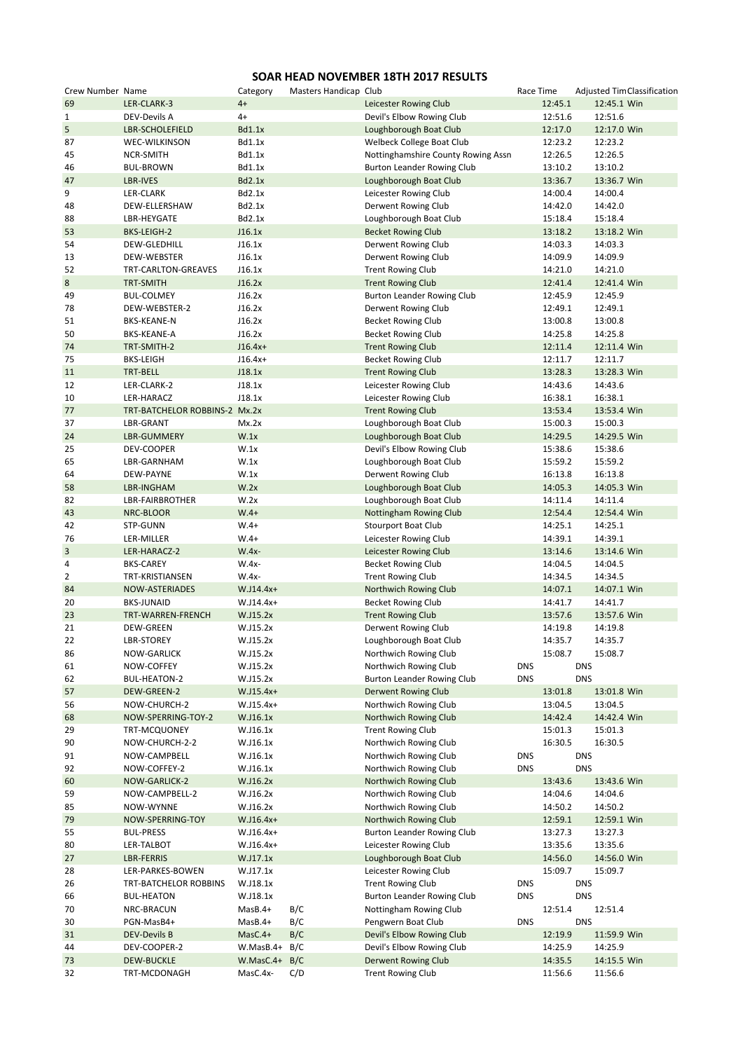## **SOAR HEAD NOVEMBER 18TH 2017 RESULTS**

| Crew Number Name |                               | Category        | Masters Handicap Club |                                    | Race Time  |            | <b>Adjusted Tim Classification</b> |
|------------------|-------------------------------|-----------------|-----------------------|------------------------------------|------------|------------|------------------------------------|
| 69               | LER-CLARK-3                   | $4+$            |                       | Leicester Rowing Club              |            | 12:45.1    | 12:45.1 Win                        |
| $\mathbf{1}$     | DEV-Devils A                  | $4+$            |                       | Devil's Elbow Rowing Club          |            | 12:51.6    | 12:51.6                            |
| 5                | <b>LBR-SCHOLEFIELD</b>        | <b>Bd1.1x</b>   |                       | Loughborough Boat Club             |            | 12:17.0    | 12:17.0 Win                        |
| 87               | <b>WEC-WILKINSON</b>          | Bd1.1x          |                       | Welbeck College Boat Club          |            | 12:23.2    | 12:23.2                            |
| 45               | NCR-SMITH                     | Bd1.1x          |                       | Nottinghamshire County Rowing Assn |            | 12:26.5    | 12:26.5                            |
|                  |                               |                 |                       |                                    |            |            |                                    |
| 46               | <b>BUL-BROWN</b>              | Bd1.1x          |                       | <b>Burton Leander Rowing Club</b>  |            | 13:10.2    | 13:10.2                            |
| 47               | LBR-IVES                      | Bd2.1x          |                       | Loughborough Boat Club             |            | 13:36.7    | 13:36.7 Win                        |
| 9                | LER-CLARK                     | Bd2.1x          |                       | Leicester Rowing Club              |            | 14:00.4    | 14:00.4                            |
| 48               | DEW-ELLERSHAW                 | Bd2.1x          |                       | Derwent Rowing Club                |            | 14:42.0    | 14:42.0                            |
| 88               | LBR-HEYGATE                   | Bd2.1x          |                       | Loughborough Boat Club             |            | 15:18.4    | 15:18.4                            |
| 53               | BKS-LEIGH-2                   | J16.1x          |                       | <b>Becket Rowing Club</b>          |            | 13:18.2    | 13:18.2 Win                        |
| 54               | DEW-GLEDHILL                  | J16.1x          |                       | Derwent Rowing Club                |            | 14:03.3    | 14:03.3                            |
| 13               | <b>DEW-WEBSTER</b>            | J16.1x          |                       | Derwent Rowing Club                |            | 14:09.9    | 14:09.9                            |
| 52               | TRT-CARLTON-GREAVES           | J16.1x          |                       | <b>Trent Rowing Club</b>           |            | 14:21.0    | 14:21.0                            |
| 8                | <b>TRT-SMITH</b>              | J16.2x          |                       | <b>Trent Rowing Club</b>           |            | 12:41.4    | 12:41.4 Win                        |
|                  |                               |                 |                       |                                    |            |            |                                    |
| 49               | <b>BUL-COLMEY</b>             | J16.2x          |                       | <b>Burton Leander Rowing Club</b>  |            | 12:45.9    | 12:45.9                            |
| 78               | DEW-WEBSTER-2                 | J16.2x          |                       | Derwent Rowing Club                |            | 12:49.1    | 12:49.1                            |
| 51               | <b>BKS-KEANE-N</b>            | J16.2x          |                       | <b>Becket Rowing Club</b>          |            | 13:00.8    | 13:00.8                            |
| 50               | BKS-KEANE-A                   | J16.2x          |                       | <b>Becket Rowing Club</b>          |            | 14:25.8    | 14:25.8                            |
| 74               | TRT-SMITH-2                   | $J16.4x+$       |                       | <b>Trent Rowing Club</b>           |            | 12:11.4    | 12:11.4 Win                        |
| 75               | <b>BKS-LEIGH</b>              | $J16.4x+$       |                       | <b>Becket Rowing Club</b>          |            | 12:11.7    | 12:11.7                            |
| 11               | TRT-BELL                      | J18.1x          |                       | <b>Trent Rowing Club</b>           |            | 13:28.3    | 13:28.3 Win                        |
| 12               | LER-CLARK-2                   | J18.1x          |                       | Leicester Rowing Club              |            | 14:43.6    | 14:43.6                            |
| 10               | LER-HARACZ                    | J18.1x          |                       | Leicester Rowing Club              |            | 16:38.1    | 16:38.1                            |
|                  |                               |                 |                       |                                    |            |            |                                    |
| 77               | TRT-BATCHELOR ROBBINS-2 Mx.2x |                 |                       | <b>Trent Rowing Club</b>           |            | 13:53.4    | 13:53.4 Win                        |
| 37               | LBR-GRANT                     | Mx.2x           |                       | Loughborough Boat Club             |            | 15:00.3    | 15:00.3                            |
| 24               | LBR-GUMMERY                   | W.1x            |                       | Loughborough Boat Club             |            | 14:29.5    | 14:29.5 Win                        |
| 25               | DEV-COOPER                    | W.1x            |                       | Devil's Elbow Rowing Club          |            | 15:38.6    | 15:38.6                            |
| 65               | LBR-GARNHAM                   | W.1x            |                       | Loughborough Boat Club             |            | 15:59.2    | 15:59.2                            |
| 64               | DEW-PAYNE                     | W.1x            |                       | Derwent Rowing Club                |            | 16:13.8    | 16:13.8                            |
| 58               | LBR-INGHAM                    | W.2x            |                       | Loughborough Boat Club             |            | 14:05.3    | 14:05.3 Win                        |
| 82               | LBR-FAIRBROTHER               | W.2x            |                       | Loughborough Boat Club             |            | 14:11.4    | 14:11.4                            |
| 43               | NRC-BLOOR                     | $W.4+$          |                       | Nottingham Rowing Club             |            | 12:54.4    | 12:54.4 Win                        |
| 42               | STP-GUNN                      | $W.4+$          |                       |                                    |            | 14:25.1    | 14:25.1                            |
|                  |                               |                 |                       | <b>Stourport Boat Club</b>         |            |            |                                    |
| 76               | LER-MILLER                    | $W.4+$          |                       | Leicester Rowing Club              |            | 14:39.1    | 14:39.1                            |
| 3                | LER-HARACZ-2                  | $W.4x-$         |                       | Leicester Rowing Club              |            | 13:14.6    | 13:14.6 Win                        |
| 4                | <b>BKS-CAREY</b>              | W.4x-           |                       | <b>Becket Rowing Club</b>          |            | 14:04.5    | 14:04.5                            |
| $\overline{2}$   | TRT-KRISTIANSEN               | W.4x-           |                       | <b>Trent Rowing Club</b>           |            | 14:34.5    | 14:34.5                            |
| 84               | <b>NOW-ASTERIADES</b>         | W.J14.4x+       |                       | Northwich Rowing Club              |            | 14:07.1    | 14:07.1 Win                        |
| 20               | <b>BKS-JUNAID</b>             | W.J14.4x+       |                       | <b>Becket Rowing Club</b>          |            | 14:41.7    | 14:41.7                            |
| 23               | TRT-WARREN-FRENCH             | W.J15.2x        |                       | <b>Trent Rowing Club</b>           |            | 13:57.6    | 13:57.6 Win                        |
| 21               | <b>DEW-GREEN</b>              | W.J15.2x        |                       | Derwent Rowing Club                |            | 14:19.8    | 14:19.8                            |
| 22               | <b>LBR-STOREY</b>             | W.J15.2x        |                       | Loughborough Boat Club             |            | 14:35.7    | 14:35.7                            |
|                  |                               |                 |                       |                                    |            |            |                                    |
| 86               | <b>NOW-GARLICK</b>            | W.J15.2x        |                       | Northwich Rowing Club              |            | 15:08.7    | 15:08.7                            |
| 61               | NOW-COFFEY                    | W.J15.2x        |                       | Northwich Rowing Club              | <b>DNS</b> | <b>DNS</b> |                                    |
| 62               | BUL-HEATON-2                  | W.J15.2x        |                       | <b>Burton Leander Rowing Club</b>  | <b>DNS</b> | <b>DNS</b> |                                    |
| 57               | DEW-GREEN-2                   | $W.J15.4x+$     |                       | <b>Derwent Rowing Club</b>         |            | 13:01.8    | 13:01.8 Win                        |
| 56               | NOW-CHURCH-2                  | W.J15.4x+       |                       | Northwich Rowing Club              |            | 13:04.5    | 13:04.5                            |
| 68               | NOW-SPERRING-TOY-2            | W.J16.1x        |                       | Northwich Rowing Club              |            | 14:42.4    | 14:42.4 Win                        |
| 29               | TRT-MCQUONEY                  | W.J16.1x        |                       | <b>Trent Rowing Club</b>           |            | 15:01.3    | 15:01.3                            |
| 90               | NOW-CHURCH-2-2                | W.J16.1x        |                       | Northwich Rowing Club              |            | 16:30.5    | 16:30.5                            |
| 91               | NOW-CAMPBELL                  | W.J16.1x        |                       | Northwich Rowing Club              | <b>DNS</b> | <b>DNS</b> |                                    |
| 92               | NOW-COFFEY-2                  | W.J16.1x        |                       | Northwich Rowing Club              | <b>DNS</b> | <b>DNS</b> |                                    |
|                  |                               |                 |                       |                                    |            |            |                                    |
| 60               | NOW-GARLICK-2                 | W.J16.2x        |                       | Northwich Rowing Club              |            | 13:43.6    | 13:43.6 Win                        |
| 59               | NOW-CAMPBELL-2                | W.J16.2x        |                       | Northwich Rowing Club              |            | 14:04.6    | 14:04.6                            |
| 85               | NOW-WYNNE                     | W.J16.2x        |                       | Northwich Rowing Club              |            | 14:50.2    | 14:50.2                            |
| 79               | NOW-SPERRING-TOY              | W.J16.4x+       |                       | Northwich Rowing Club              |            | 12:59.1    | 12:59.1 Win                        |
| 55               | <b>BUL-PRESS</b>              | W.J16.4x+       |                       | <b>Burton Leander Rowing Club</b>  |            | 13:27.3    | 13:27.3                            |
| 80               | LER-TALBOT                    | W.J16.4x+       |                       | Leicester Rowing Club              |            | 13:35.6    | 13:35.6                            |
| 27               | LBR-FERRIS                    | W.J17.1x        |                       | Loughborough Boat Club             |            | 14:56.0    | 14:56.0 Win                        |
| 28               | LER-PARKES-BOWEN              | W.J17.1x        |                       | Leicester Rowing Club              |            | 15:09.7    | 15:09.7                            |
| 26               | TRT-BATCHELOR ROBBINS         | W.J18.1x        |                       | <b>Trent Rowing Club</b>           | <b>DNS</b> | <b>DNS</b> |                                    |
| 66               | <b>BUL-HEATON</b>             | W.J18.1x        |                       | <b>Burton Leander Rowing Club</b>  | <b>DNS</b> | <b>DNS</b> |                                    |
|                  |                               |                 |                       |                                    |            |            |                                    |
| 70               | NRC-BRACUN                    | MasB.4+         | B/C                   | Nottingham Rowing Club             |            | 12:51.4    | 12:51.4                            |
| 30               | PGN-MasB4+                    | MasB.4+         | B/C                   | Pengwern Boat Club                 | <b>DNS</b> | <b>DNS</b> |                                    |
| 31               | <b>DEV-Devils B</b>           | MasC.4+         | B/C                   | Devil's Elbow Rowing Club          |            | 12:19.9    | 11:59.9 Win                        |
| 44               | DEV-COOPER-2                  | W.MasB.4+       | B/C                   | Devil's Elbow Rowing Club          |            | 14:25.9    | 14:25.9                            |
| 73               | <b>DEW-BUCKLE</b>             | $W.MasC.4+ B/C$ |                       | <b>Derwent Rowing Club</b>         |            | 14:35.5    | 14:15.5 Win                        |
| 32               | TRT-MCDONAGH                  | MasC.4x-        | C/D                   | <b>Trent Rowing Club</b>           |            | 11:56.6    | 11:56.6                            |